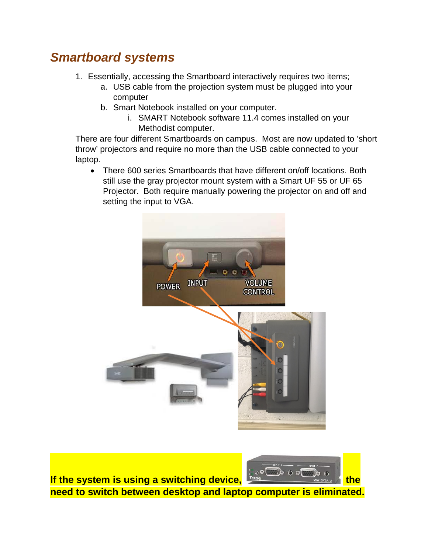## *Smartboard systems*

- 1. Essentially, accessing the Smartboard interactively requires two items;
	- a. USB cable from the projection system must be plugged into your computer
	- b. Smart Notebook installed on your computer.
		- i. SMART Notebook software 11.4 comes installed on your Methodist computer.

There are four different Smartboards on campus. Most are now updated to 'short throw' projectors and require no more than the USB cable connected to your laptop.

• There 600 series Smartboards that have different on/off locations. Both still use the gray projector mount system with a Smart UF 55 or UF 65 Projector. Both require manually powering the projector on and off and setting the input to VGA.



**If the system is using a switching device, Extrem The State of the need to switch between desktop and laptop computer is eliminated.**